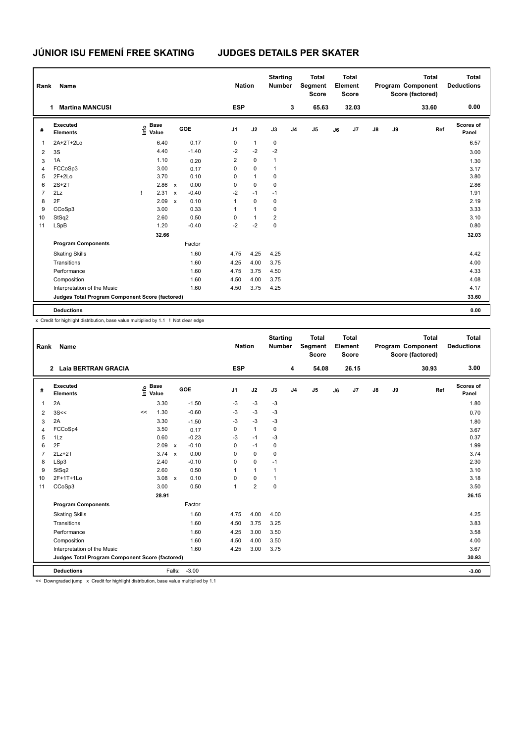| Rank           | <b>Name</b>                                     |                                  |                                      | <b>Nation</b>  |              | <b>Starting</b><br><b>Number</b> |                | <b>Total</b><br>Segment<br><b>Score</b> |    | <b>Total</b><br>Element<br><b>Score</b> |               |    | <b>Total</b><br>Program Component<br>Score (factored) | <b>Total</b><br><b>Deductions</b> |
|----------------|-------------------------------------------------|----------------------------------|--------------------------------------|----------------|--------------|----------------------------------|----------------|-----------------------------------------|----|-----------------------------------------|---------------|----|-------------------------------------------------------|-----------------------------------|
|                | <b>Martina MANCUSI</b><br>1                     |                                  |                                      | <b>ESP</b>     |              |                                  | 3              | 65.63                                   |    | 32.03                                   |               |    | 33.60                                                 | 0.00                              |
| #              | Executed<br><b>Elements</b>                     | <b>Base</b><br>o Base<br>⊆ Value | GOE                                  | J <sub>1</sub> | J2           | J3                               | J <sub>4</sub> | J <sub>5</sub>                          | J6 | J7                                      | $\mathsf{J}8$ | J9 | Ref                                                   | Scores of<br>Panel                |
| 1              | 2A+2T+2Lo                                       | 6.40                             | 0.17                                 | 0              | $\mathbf{1}$ | 0                                |                |                                         |    |                                         |               |    |                                                       | 6.57                              |
| $\overline{2}$ | 3S                                              | 4.40                             | $-1.40$                              | $-2$           | $-2$         | $-2$                             |                |                                         |    |                                         |               |    |                                                       | 3.00                              |
| 3              | 1A                                              | 1.10                             | 0.20                                 | $\overline{2}$ | $\mathbf 0$  | $\mathbf{1}$                     |                |                                         |    |                                         |               |    |                                                       | 1.30                              |
| $\overline{4}$ | FCCoSp3                                         | 3.00                             | 0.17                                 | 0              | $\mathbf 0$  | $\mathbf{1}$                     |                |                                         |    |                                         |               |    |                                                       | 3.17                              |
| 5              | $2F+2Lo$                                        | 3.70                             | 0.10                                 | 0              | $\mathbf{1}$ | 0                                |                |                                         |    |                                         |               |    |                                                       | 3.80                              |
| 6              | $2S+2T$                                         | 2.86 x                           | 0.00                                 | 0              | $\mathbf 0$  | 0                                |                |                                         |    |                                         |               |    |                                                       | 2.86                              |
| $\overline{7}$ | 2Lz                                             | 2.31                             | $-0.40$<br>$\boldsymbol{\mathsf{x}}$ | $-2$           | $-1$         | $-1$                             |                |                                         |    |                                         |               |    |                                                       | 1.91                              |
| 8              | 2F                                              | 2.09                             | 0.10<br>$\boldsymbol{\mathsf{x}}$    | 1              | $\mathbf 0$  | 0                                |                |                                         |    |                                         |               |    |                                                       | 2.19                              |
| 9              | CCoSp3                                          | 3.00                             | 0.33                                 | 1              | $\mathbf{1}$ | $\mathbf 0$                      |                |                                         |    |                                         |               |    |                                                       | 3.33                              |
| 10             | StSq2                                           | 2.60                             | 0.50                                 | 0              | $\mathbf{1}$ | $\overline{2}$                   |                |                                         |    |                                         |               |    |                                                       | 3.10                              |
| 11             | <b>LSpB</b>                                     | 1.20                             | $-0.40$                              | $-2$           | $-2$         | 0                                |                |                                         |    |                                         |               |    |                                                       | 0.80                              |
|                |                                                 | 32.66                            |                                      |                |              |                                  |                |                                         |    |                                         |               |    |                                                       | 32.03                             |
|                | <b>Program Components</b>                       |                                  | Factor                               |                |              |                                  |                |                                         |    |                                         |               |    |                                                       |                                   |
|                | <b>Skating Skills</b>                           |                                  | 1.60                                 | 4.75           | 4.25         | 4.25                             |                |                                         |    |                                         |               |    |                                                       | 4.42                              |
|                | Transitions                                     |                                  | 1.60                                 | 4.25           | 4.00         | 3.75                             |                |                                         |    |                                         |               |    |                                                       | 4.00                              |
|                | Performance                                     |                                  | 1.60                                 | 4.75           | 3.75         | 4.50                             |                |                                         |    |                                         |               |    |                                                       | 4.33                              |
|                | Composition                                     |                                  | 1.60                                 | 4.50           | 4.00         | 3.75                             |                |                                         |    |                                         |               |    |                                                       | 4.08                              |
|                | Interpretation of the Music                     |                                  | 1.60                                 | 4.50           | 3.75         | 4.25                             |                |                                         |    |                                         |               |    |                                                       | 4.17                              |
|                | Judges Total Program Component Score (factored) |                                  |                                      |                |              |                                  |                |                                         |    |                                         |               |    |                                                       | 33.60                             |
|                | <b>Deductions</b>                               |                                  |                                      |                |              |                                  |                |                                         |    |                                         |               |    |                                                       | 0.00                              |

x Credit for highlight distribution, base value multiplied by 1.1 ! Not clear edge

| Rank                                            | <b>Name</b>                 |    |                                  |              |         | <b>Nation</b>  |                | <b>Starting</b><br><b>Number</b> |                | <b>Total</b><br>Segment<br><b>Score</b> |    | <b>Total</b><br>Element<br><b>Score</b> |               |    | <b>Total</b><br>Program Component<br>Score (factored) | <b>Total</b><br><b>Deductions</b> |
|-------------------------------------------------|-----------------------------|----|----------------------------------|--------------|---------|----------------|----------------|----------------------------------|----------------|-----------------------------------------|----|-----------------------------------------|---------------|----|-------------------------------------------------------|-----------------------------------|
|                                                 | 2 Laia BERTRAN GRACIA       |    |                                  |              |         | <b>ESP</b>     |                |                                  | 4              | 54.08                                   |    | 26.15                                   |               |    | 30.93                                                 | 3.00                              |
| #                                               | Executed<br><b>Elements</b> |    | <b>Base</b><br>e Base<br>⊆ Value |              | GOE     | J <sub>1</sub> | J2             | J3                               | J <sub>4</sub> | J <sub>5</sub>                          | J6 | J7                                      | $\mathsf{J}8$ | J9 | Ref                                                   | Scores of<br>Panel                |
| $\mathbf{1}$                                    | 2A                          |    | 3.30                             |              | $-1.50$ | -3             | $-3$           | $-3$                             |                |                                         |    |                                         |               |    |                                                       | 1.80                              |
| $\overline{2}$                                  | 3S<<                        | << | 1.30                             |              | $-0.60$ | $-3$           | $-3$           | $-3$                             |                |                                         |    |                                         |               |    |                                                       | 0.70                              |
| 3                                               | 2A                          |    | 3.30                             |              | $-1.50$ | $-3$           | $-3$           | $-3$                             |                |                                         |    |                                         |               |    |                                                       | 1.80                              |
| 4                                               | FCCoSp4                     |    | 3.50                             |              | 0.17    | 0              | $\mathbf{1}$   | 0                                |                |                                         |    |                                         |               |    |                                                       | 3.67                              |
| 5                                               | 1Lz                         |    | 0.60                             |              | $-0.23$ | $-3$           | $-1$           | $-3$                             |                |                                         |    |                                         |               |    |                                                       | 0.37                              |
| 6                                               | 2F                          |    | 2.09                             | $\mathsf{x}$ | $-0.10$ | 0              | $-1$           | $\mathbf 0$                      |                |                                         |    |                                         |               |    |                                                       | 1.99                              |
| $\overline{7}$                                  | $2Lz+2T$                    |    | $3.74 \times$                    |              | 0.00    | $\Omega$       | $\mathbf 0$    | 0                                |                |                                         |    |                                         |               |    |                                                       | 3.74                              |
| 8                                               | LSp3                        |    | 2.40                             |              | $-0.10$ | 0              | $\mathbf 0$    | $-1$                             |                |                                         |    |                                         |               |    |                                                       | 2.30                              |
| 9                                               | StSq2                       |    | 2.60                             |              | 0.50    |                | $\mathbf{1}$   | $\mathbf{1}$                     |                |                                         |    |                                         |               |    |                                                       | 3.10                              |
| 10                                              | 2F+1T+1Lo                   |    | 3.08                             | $\mathsf{x}$ | 0.10    | $\Omega$       | $\mathbf 0$    | $\mathbf{1}$                     |                |                                         |    |                                         |               |    |                                                       | 3.18                              |
| 11                                              | CCoSp3                      |    | 3.00                             |              | 0.50    |                | $\overline{2}$ | $\mathbf 0$                      |                |                                         |    |                                         |               |    |                                                       | 3.50                              |
|                                                 |                             |    | 28.91                            |              |         |                |                |                                  |                |                                         |    |                                         |               |    |                                                       | 26.15                             |
|                                                 | <b>Program Components</b>   |    |                                  |              | Factor  |                |                |                                  |                |                                         |    |                                         |               |    |                                                       |                                   |
|                                                 | <b>Skating Skills</b>       |    |                                  |              | 1.60    | 4.75           | 4.00           | 4.00                             |                |                                         |    |                                         |               |    |                                                       | 4.25                              |
|                                                 | Transitions                 |    |                                  |              | 1.60    | 4.50           | 3.75           | 3.25                             |                |                                         |    |                                         |               |    |                                                       | 3.83                              |
|                                                 | Performance                 |    |                                  |              | 1.60    | 4.25           | 3.00           | 3.50                             |                |                                         |    |                                         |               |    |                                                       | 3.58                              |
|                                                 | Composition                 |    |                                  |              | 1.60    | 4.50           | 4.00           | 3.50                             |                |                                         |    |                                         |               |    |                                                       | 4.00                              |
|                                                 | Interpretation of the Music |    |                                  |              | 1.60    | 4.25           | 3.00           | 3.75                             |                |                                         |    |                                         |               |    |                                                       | 3.67                              |
| Judges Total Program Component Score (factored) |                             |    |                                  |              |         |                |                |                                  |                |                                         |    | 30.93                                   |               |    |                                                       |                                   |
|                                                 | <b>Deductions</b>           |    |                                  | Falls:       | $-3.00$ |                |                |                                  |                |                                         |    |                                         |               |    |                                                       | $-3.00$                           |

<< Downgraded jump x Credit for highlight distribution, base value multiplied by 1.1